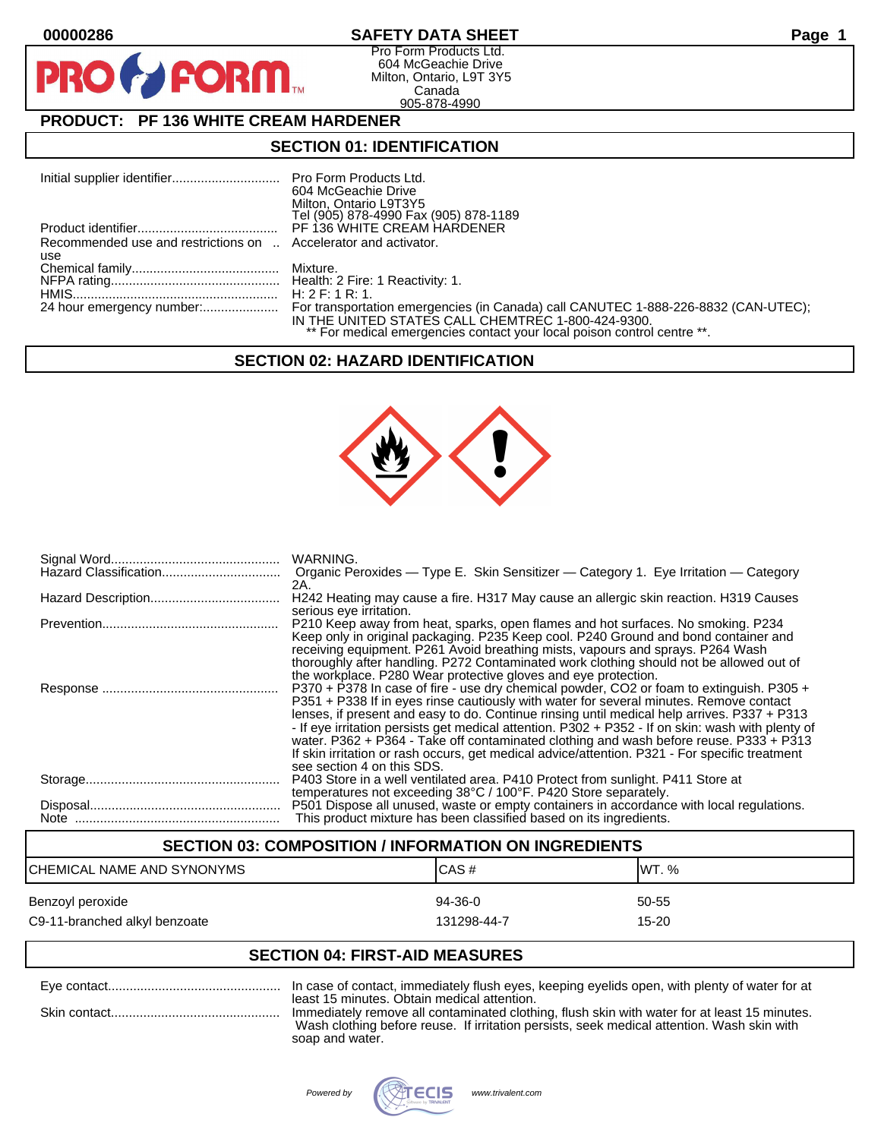**PIR** 

# **00000286 SAFETY DATA SHEET Page 1**

Pro Form Products Ltd. 604 McGeachie Drive Milton, Ontario, L9T 3Y5 Canada 905-878-4990

# **PRODUCT: PF 136 WHITE CREAM HARDENER**

**FORM.** 

## **SECTION 01: IDENTIFICATION**

|                                                                 | 604 McGeachie Drive                                                     |
|-----------------------------------------------------------------|-------------------------------------------------------------------------|
|                                                                 | Milton, Ontario L9T3Y5                                                  |
|                                                                 | Tel (905) 878-4990 Fax (905) 878-1189                                   |
|                                                                 |                                                                         |
| Recommended use and restrictions on  Accelerator and activator. |                                                                         |
| use                                                             |                                                                         |
|                                                                 |                                                                         |
|                                                                 |                                                                         |
|                                                                 |                                                                         |
|                                                                 |                                                                         |
|                                                                 | IN THE UNITED STATES CALL CHEMTREC 1-800-424-9300.                      |
|                                                                 | ** For medical emergencies contact your local poison control centre **. |

#### **SECTION 02: HAZARD IDENTIFICATION**



| WARNING.<br>Organic Peroxides - Type E. Skin Sensitizer - Category 1. Eye Irritation - Category                                                                                                                                                                                                                                                                                                                                                                                                                                                                                                                  |
|------------------------------------------------------------------------------------------------------------------------------------------------------------------------------------------------------------------------------------------------------------------------------------------------------------------------------------------------------------------------------------------------------------------------------------------------------------------------------------------------------------------------------------------------------------------------------------------------------------------|
| 2A.<br>H242 Heating may cause a fire. H317 May cause an allergic skin reaction. H319 Causes                                                                                                                                                                                                                                                                                                                                                                                                                                                                                                                      |
| serious eye irritation.<br>P210 Keep away from heat, sparks, open flames and hot surfaces. No smoking. P234<br>Keep only in original packaging. P235 Keep cool. P240 Ground and bond container and<br>receiving equipment. P261 Avoid breathing mists, vapours and sprays. P264 Wash<br>thoroughly after handling. P272 Contaminated work clothing should not be allowed out of<br>the workplace. P280 Wear protective gloves and eye protection.                                                                                                                                                                |
| P370 + P378 In case of fire - use dry chemical powder, CO2 or foam to extinguish. P305 +<br>P351 + P338 If in eyes rinse cautiously with water for several minutes. Remove contact<br>lenses, if present and easy to do. Continue rinsing until medical help arrives. P337 + P313<br>- If eye irritation persists get medical attention. P302 + P352 - If on skin: wash with plenty of<br>water. P362 + P364 - Take off contaminated clothing and wash before reuse. P333 + P313<br>If skin irritation or rash occurs, get medical advice/attention. P321 - For specific treatment<br>see section 4 on this SDS. |
| P403 Store in a well ventilated area. P410 Protect from sunlight. P411 Store at<br>temperatures not exceeding 38°C / 100°F. P420 Store separately.                                                                                                                                                                                                                                                                                                                                                                                                                                                               |
| P501 Dispose all unused, waste or empty containers in accordance with local regulations.<br>This product mixture has been classified based on its ingredients.                                                                                                                                                                                                                                                                                                                                                                                                                                                   |

# **SECTION 03: COMPOSITION / INFORMATION ON INGREDIENTS** CHEMICAL NAME AND SYNONYMS CHEMICAL NAME AND SYNONYMS Benzoyl peroxide 60-55 states and the state of the 94-36-0 states of the 50-55 states of the  $\frac{94-36-0}{2}$ C9-11-branched alkyl benzoate 15-20 and the 131298-44-7 control in the 15-20

# **SECTION 04: FIRST-AID MEASURES**

| In case of contact, immediately flush eyes, keeping eyelids open, with plenty of water for at                                                                                              |
|--------------------------------------------------------------------------------------------------------------------------------------------------------------------------------------------|
| least 15 minutes. Obtain medical attention.                                                                                                                                                |
| Immediately remove all contaminated clothing, flush skin with water for at least 15 minutes.<br>Wash clothing before reuse. If irritation persists, seek medical attention. Wash skin with |
| soap and water.                                                                                                                                                                            |

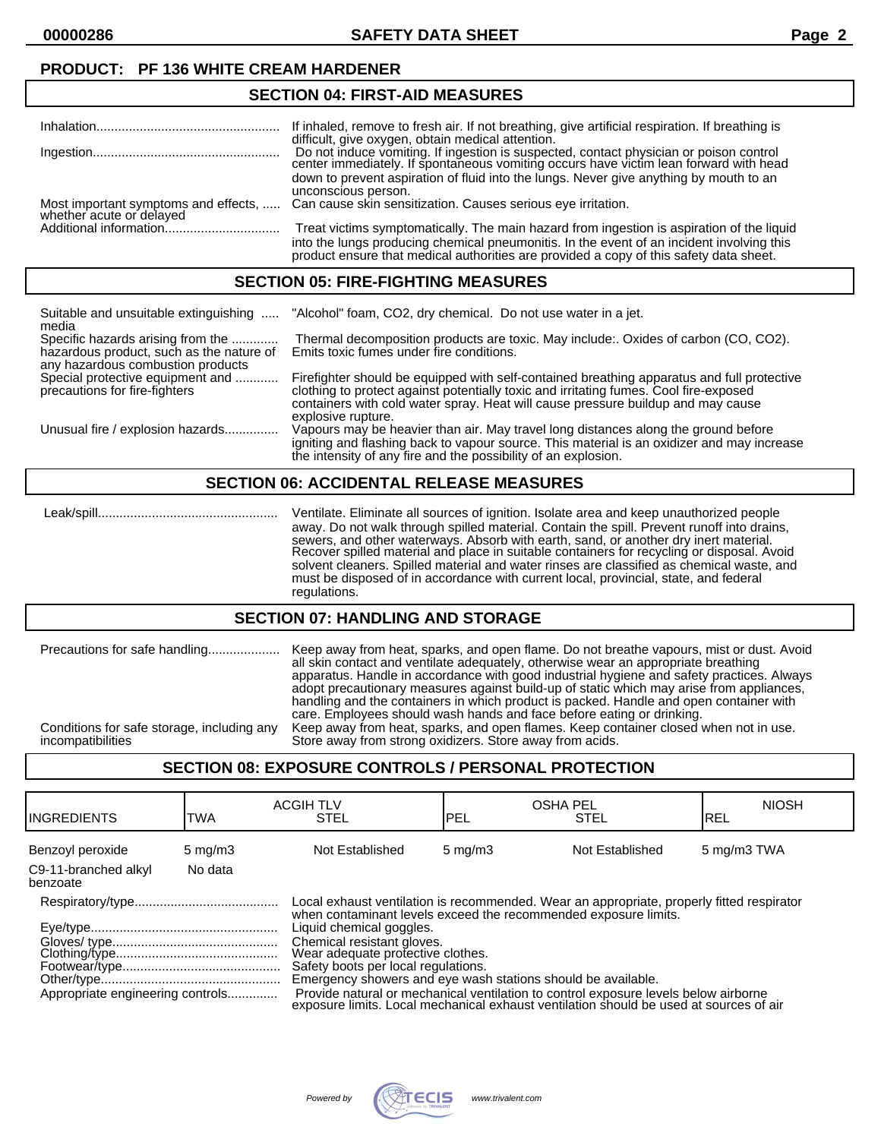**00000286 SAFETY DATA SHEET Page 2**

# **PRODUCT: PF 136 WHITE CREAM HARDENER**

## **SECTION 04: FIRST-AID MEASURES**

|                                                                  | If inhaled, remove to fresh air. If not breathing, give artificial respiration. If breathing is |
|------------------------------------------------------------------|-------------------------------------------------------------------------------------------------|
|                                                                  | difficult, give oxygen, obtain medical attention.                                               |
|                                                                  | Do not induce vomiting. If ingestion is suspected, contact physician or poison control          |
|                                                                  | center immediately. If spontaneous vomiting occurs have victim lean forward with head           |
|                                                                  |                                                                                                 |
|                                                                  | down to prevent aspiration of fluid into the lungs. Never give anything by mouth to an          |
|                                                                  | unconscious person.                                                                             |
|                                                                  | Can cause skin sensitization. Causes serious eye irritation.                                    |
| Most important symptoms and effects,<br>whether acute or delayed |                                                                                                 |
|                                                                  | Treat victims symptomatically. The main hazard from ingestion is aspiration of the liquid       |
|                                                                  |                                                                                                 |
|                                                                  | into the lungs producing chemical pneumonitis. In the event of an incident involving this       |
|                                                                  | product ensure that medical authorities are provided a copy of this safety data sheet.          |
|                                                                  |                                                                                                 |

#### **SECTION 05: FIRE-FIGHTING MEASURES**

| Suitable and unsuitable extinguishing<br>media                                                                     | "Alcohol" foam, CO2, dry chemical. Do not use water in a jet.                                                                                                                                                                                                                                 |
|--------------------------------------------------------------------------------------------------------------------|-----------------------------------------------------------------------------------------------------------------------------------------------------------------------------------------------------------------------------------------------------------------------------------------------|
| Specific hazards arising from the<br>hazardous product, such as the nature of<br>any hazardous combustion products | Thermal decomposition products are toxic. May include: Oxides of carbon (CO, CO2).<br>Emits toxic fumes under fire conditions.                                                                                                                                                                |
| Special protective equipment and<br>precautions for fire-fighters                                                  | Firefighter should be equipped with self-contained breathing apparatus and full protective<br>clothing to protect against potentially toxic and irritating fumes. Cool fire-exposed<br>containers with cold water spray. Heat will cause pressure buildup and may cause<br>explosive rupture. |
| Unusual fire / explosion hazards                                                                                   | Vapours may be heavier than air. May travel long distances along the ground before<br>igniting and flashing back to vapour source. This material is an oxidizer and may increase<br>the intensity of any fire and the possibility of an explosion.                                            |

#### **SECTION 06: ACCIDENTAL RELEASE MEASURES**

 Leak/spill.................................................. Ventilate. Eliminate all sources of ignition. Isolate area and keep unauthorized people away. Do not walk through spilled material. Contain the spill. Prevent runoff into drains, sewers, and other waterways. Absorb with earth, sand, or another dry inert material. Recover spilled material and place in suitable containers for recycling or disposal. Avoid solvent cleaners. Spilled material and water rinses are classified as chemical waste, and must be disposed of in accordance with current local, provincial, state, and federal regulations.

#### **SECTION 07: HANDLING AND STORAGE**

| Precautions for safe handling<br>Conditions for safe storage, including any | Keep away from heat, sparks, and open flame. Do not breathe vapours, mist or dust. Avoid<br>all skin contact and ventilate adequately, otherwise wear an appropriate breathing<br>apparatus. Handle in accordance with good industrial hygiene and safety practices. Always<br>adopt precautionary measures against build-up of static which may arise from appliances,<br>handling and the containers in which product is packed. Handle and open container with<br>care. Employees should wash hands and face before eating or drinking. |
|-----------------------------------------------------------------------------|--------------------------------------------------------------------------------------------------------------------------------------------------------------------------------------------------------------------------------------------------------------------------------------------------------------------------------------------------------------------------------------------------------------------------------------------------------------------------------------------------------------------------------------------|
| incompatibilities                                                           | Keep away from heat, sparks, and open flames. Keep container closed when not in use.<br>Store away from strong oxidizers. Store away from acids.                                                                                                                                                                                                                                                                                                                                                                                           |

## **SECTION 08: EXPOSURE CONTROLS / PERSONAL PROTECTION**

| <b>I</b> INGREDIENTS             | TWA              | <b>ACGIH TLV</b><br><b>STEL</b>                                                                                                                                                                                                                                                                                                                                                                                                                                                                                                                     | <b>OSHA PEL</b><br>PEL | <b>STEL</b>     | <b>NIOSH</b><br>IREL |
|----------------------------------|------------------|-----------------------------------------------------------------------------------------------------------------------------------------------------------------------------------------------------------------------------------------------------------------------------------------------------------------------------------------------------------------------------------------------------------------------------------------------------------------------------------------------------------------------------------------------------|------------------------|-----------------|----------------------|
| Benzoyl peroxide                 | $5 \text{ mg/m}$ | Not Established                                                                                                                                                                                                                                                                                                                                                                                                                                                                                                                                     | $5 \text{ mg/m}$       | Not Established | 5 mg/m3 TWA          |
| C9-11-branched alkyl<br>benzoate | No data          |                                                                                                                                                                                                                                                                                                                                                                                                                                                                                                                                                     |                        |                 |                      |
| Appropriate engineering controls |                  | Local exhaust ventilation is recommended. Wear an appropriate, properly fitted respirator<br>when contaminant levels exceed the recommended exposure limits.<br>Liquid chemical goggles.<br>Chemical resistant gloves.<br>Wear adequate profective clothes.<br>Safety boots per local regulations.<br>Emergency showers and eye wash stations should be available.<br>Provide natural or mechanical ventilation to control exposure levels below airborne<br>exposure limits. Local mechanical exhaust ventilation should be used at sources of air |                        |                 |                      |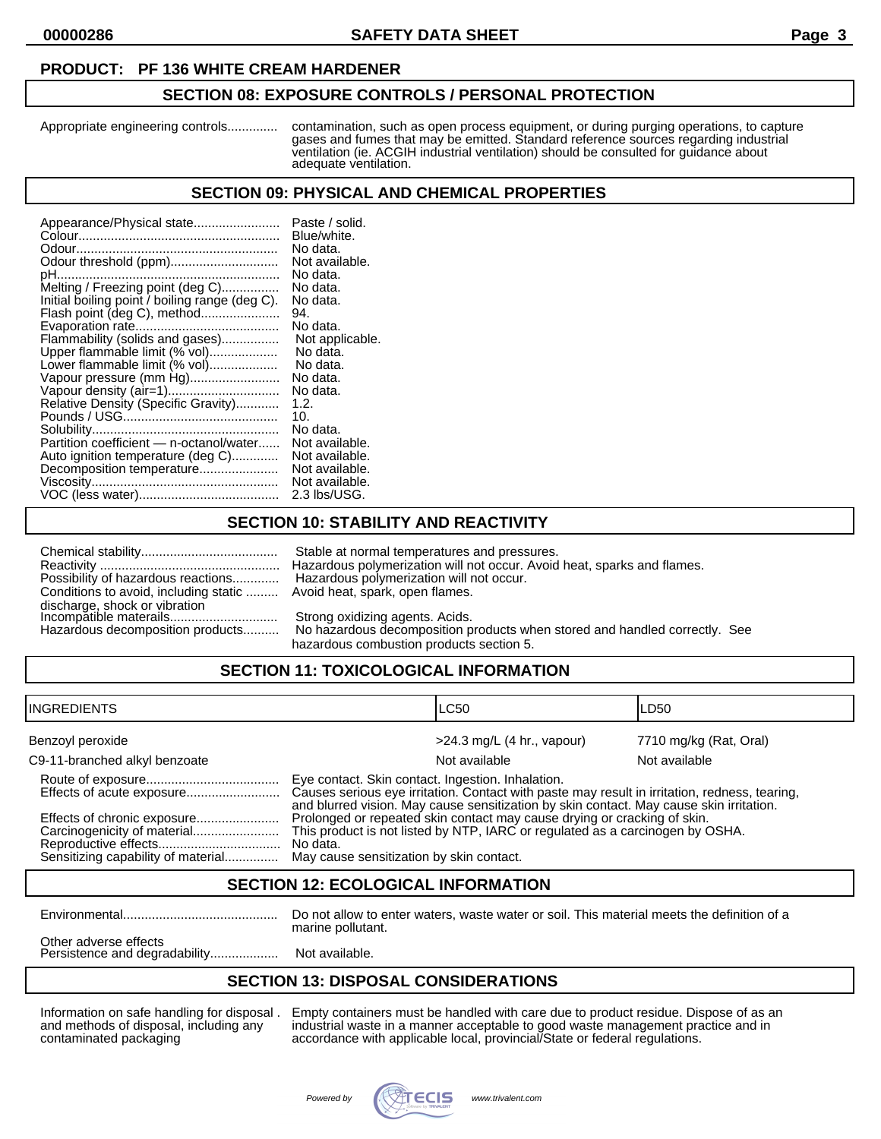#### **PRODUCT: PF 136 WHITE CREAM HARDENER**

#### **SECTION 08: EXPOSURE CONTROLS / PERSONAL PROTECTION**

Appropriate engineering controls.............. contamination, such as open process equipment, or during purging operations, to capture gases and fumes that may be emitted. Standard reference sources regarding industrial ventilation (ie. ACGIH industrial ventilation) should be consulted for guidance about adequate ventilation.

#### **SECTION 09: PHYSICAL AND CHEMICAL PROPERTIES**

| Appearance/Physical state<br>Odour threshold (ppm)<br>pH<br>Melting / Freezing point (deg C)<br>Initial boiling point / boiling range (deg C).<br>Flash point (deg C), method<br>Flammability (solids and gases)<br>Upper flammable limit (% vol)<br>Lower flammable limit (% vol)<br>Vapour pressure (mm Hg)<br>Relative Density (Specific Gravity)<br>Partition coefficient - n-octanol/water<br>Auto ignition temperature (deg C)<br>Decomposition temperature | Paste / solid.<br>Blue/white.<br>No data.<br>Not available.<br>No data.<br>No data.<br>No data.<br>94.<br>No data.<br>Not applicable.<br>No data.<br>No data.<br>No data.<br>No data.<br>1.2.<br>10.<br>No data.<br>Not available.<br>Not available.<br>Not available.<br>Not available. |
|-------------------------------------------------------------------------------------------------------------------------------------------------------------------------------------------------------------------------------------------------------------------------------------------------------------------------------------------------------------------------------------------------------------------------------------------------------------------|------------------------------------------------------------------------------------------------------------------------------------------------------------------------------------------------------------------------------------------------------------------------------------------|
|                                                                                                                                                                                                                                                                                                                                                                                                                                                                   | 2.3 lbs/USG.                                                                                                                                                                                                                                                                             |

## **SECTION 10: STABILITY AND REACTIVITY**

| Possibility of hazardous reactions                      |
|---------------------------------------------------------|
| Conditions to avoid, including static                   |
| discharge, shock or vibration<br>Incompatible materails |
|                                                         |
| the consideration of a second contribution and changes. |

Stable at normal temperatures and pressures. Reactivity .................................................. Hazardous polymerization will not occur. Avoid heat, sparks and flames. Hazardous polymerization will not occur. Avoid heat, spark, open flames.

Strong oxidizing agents. Acids.

Hazardous decomposition products.......... No hazardous decomposition products when stored and handled correctly. See hazardous combustion products section 5.

# **SECTION 11: TOXICOLOGICAL INFORMATION**

| IINGREDIENTS                                                      |                                                                                                                                                                                                                                               | ILC50                        | LD50                   |
|-------------------------------------------------------------------|-----------------------------------------------------------------------------------------------------------------------------------------------------------------------------------------------------------------------------------------------|------------------------------|------------------------|
| Benzoyl peroxide                                                  |                                                                                                                                                                                                                                               | $>24.3$ mg/L (4 hr., vapour) | 7710 mg/kg (Rat, Oral) |
| C9-11-branched alkyl benzoate                                     |                                                                                                                                                                                                                                               | Not available                | Not available          |
| Effects of acute exposure                                         | Eye contact. Skin contact. Ingestion. Inhalation.<br>Causes serious eye irritation. Contact with paste may result in irritation, redness, tearing,<br>and blurred vision. May cause sensitization by skin contact. May cause skin irritation. |                              |                        |
| Effects of chronic exposure<br>Sensitizing capability of material | Prolonged or repeated skin contact may cause drying or cracking of skin.<br>This product is not listed by NTP, IARC or regulated as a carcinogen by OSHA.<br>No data.<br>May cause sensitization by skin contact.                             |                              |                        |

#### **SECTION 12: ECOLOGICAL INFORMATION**

Environmental........................................... Do not allow to enter waters, waste water or soil. This material meets the definition of a marine pollutant.

Other adverse effects Persistence and degradability......................... Not available.

## **SECTION 13: DISPOSAL CONSIDERATIONS**

Information on safe handling for disposal . Empty containers must be handled with care due to product residue. Dispose of as an and methods of disposal, including any industrial waste in a manner acceptable to good waste management practice and in contaminated packaging accordance with applicable local, provincial/State or federal regulations.